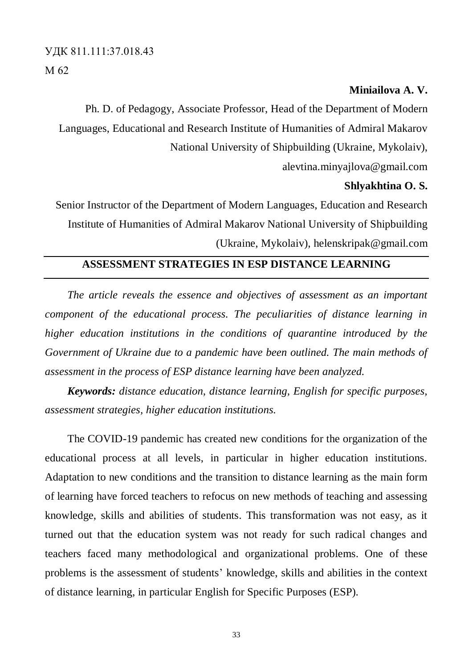# УДК 811.111:37.018.43 М 62

#### **Miniailova A. V.**

Ph. D. of Pedagogy, Associate Professor, Head of the Department of Modern Languages, Educational and Research Institute of Humanities of Admiral Makarov National University of Shipbuilding (Ukraine, Mykolaiv), alevtina.minyajlova@gmail.com

#### **Shlyakhtina O. S.**

Senior Instructor of the Department of Modern Languages, Education and Research Institute of Humanities of Admiral Makarov National University of Shipbuilding (Ukraine, Mykolaiv), helenskripak@gmail.com

## **ASSESSMENT STRATEGIES IN ESP DISTANCE LEARNING**

*The article reveals the essence and objectives of assessment as an important component of the educational process. The peculiarities of distance learning in higher education institutions in the conditions of quarantine introduced by the Government of Ukraine due to a pandemic have been outlined. The main methods of assessment in the process of ESP distance learning have been analyzed.*

*Keywords: distance education, distance learning, English for specific purposes, assessment strategies, higher education institutions.*

The COVID-19 pandemic has created new conditions for the organization of the educational process at all levels, in particular in higher education institutions. Adaptation to new conditions and the transition to distance learning as the main form of learning have forced teachers to refocus on new methods of teaching and assessing knowledge, skills and abilities of students. This transformation was not easy, as it turned out that the education system was not ready for such radical changes and teachers faced many methodological and organizational problems. One of these problems is the assessment of students' knowledge, skills and abilities in the context of distance learning, in particular English for Specific Purposes (ESP).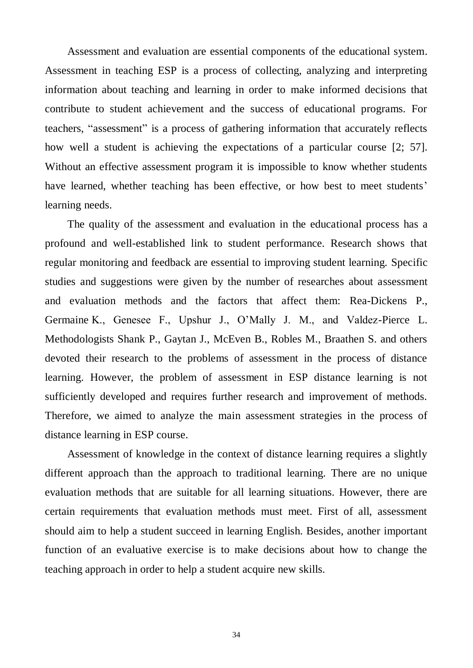Assessment and evaluation are essential components of the educational system. Assessment in teaching ESP is a process of collecting, analyzing and interpreting information about teaching and learning in order to make informed decisions that contribute to student achievement and the success of educational programs. For teachers, "assessment" is a process of gathering information that accurately reflects how well a student is achieving the expectations of a particular course [2; 57]. Without an effective assessment program it is impossible to know whether students have learned, whether teaching has been effective, or how best to meet students' learning needs.

The quality of the assessment and evaluation in the educational process has a profound and well-established link to student performance. Research shows that regular monitoring and feedback are essential to improving student learning. Specific studies and suggestions were given by the number of researches about assessment and evaluation methods and the factors that affect them: Rea-Dickens P., Germaine K., Genesee F., Upshur J., O'Mally J. M., and Valdez-Pierce L. Methodologists Shank P., Gaytan J., McEven B., Robles M., Braathen S. and others devoted their research to the problems of assessment in the process of distance learning. However, the problem of assessment in ESP distance learning is not sufficiently developed and requires further research and improvement of methods. Therefore, we aimed to analyze the main assessment strategies in the process of distance learning in ESP course.

Assessment of knowledge in the context of distance learning requires a slightly different approach than the approach to traditional learning. There are no unique evaluation methods that are suitable for all learning situations. However, there are certain requirements that evaluation methods must meet. First of all, assessment should aim to help a student succeed in learning English. Besides, another important function of an evaluative exercise is to make decisions about how to change the teaching approach in order to help a student acquire new skills.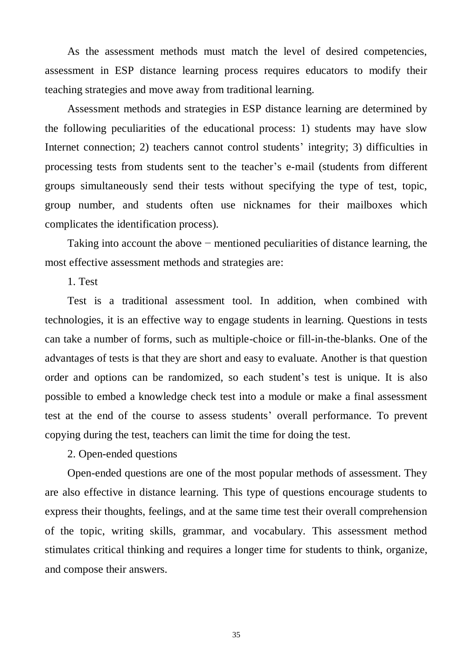As the assessment methods must match the level of desired competencies, assessment in ESP distance learning process requires educators to modify their teaching strategies and move away from traditional learning.

Assessment methods and strategies in ESP distance learning are determined by the following peculiarities of the educational process: 1) students may have slow Internet connection; 2) teachers cannot control students' integrity; 3) difficulties in processing tests from students sent to the teacher's e-mail (students from different groups simultaneously send their tests without specifying the type of test, topic, group number, and students often use nicknames for their mailboxes which complicates the identification process).

Taking into account the above − mentioned peculiarities of distance learning, the most effective assessment methods and strategies are:

1. Test

Test is a traditional assessment tool. In addition, when combined with technologies, it is an effective way to engage students in learning. Questions in tests can take a number of forms, such as multiple-choice or fill-in-the-blanks. One of the advantages of tests is that they are short and easy to evaluate. Another is that question order and options can be randomized, so each student's test is unique. It is also possible to embed a knowledge check test into a module or make a final assessment test at the end of the course to assess students' overall performance. To prevent copying during the test, teachers can limit the time for doing the test.

2. Open-ended questions

Open-ended questions are one of the most popular methods of assessment. They are also effective in distance learning. This type of questions encourage students to express their thoughts, feelings, and at the same time test their overall comprehension of the topic, writing skills, grammar, and vocabulary. This assessment method stimulates critical thinking and requires a longer time for students to think, organize, and compose their answers.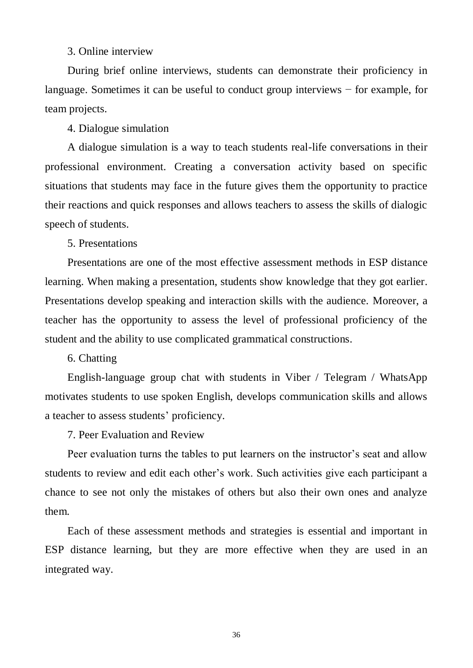#### 3. Online interview

During brief online interviews, students can demonstrate their proficiency in language. Sometimes it can be useful to conduct group interviews − for example, for team projects.

4. Dialogue simulation

A dialogue simulation is a way to teach students real-life conversations in their professional environment. Creating a conversation activity based on specific situations that students may face in the future gives them the opportunity to practice their reactions and quick responses and allows teachers to assess the skills of dialogic speech of students.

5. Presentations

Presentations are one of the most effective assessment methods in ESP distance learning. When making a presentation, students show knowledge that they got earlier. Presentations develop speaking and interaction skills with the audience. Moreover, a teacher has the opportunity to assess the level of professional proficiency of the student and the ability to use complicated grammatical constructions.

6. Chatting

English-language group chat with students in Viber / Telegram / WhatsApp motivates students to use spoken English, develops communication skills and allows a teacher to assess students' proficiency.

7. Peer Evaluation and Review

Peer evaluation turns the tables to put learners on the instructor's seat and allow students to review and edit each other's work. Such activities give each participant a chance to see not only the mistakes of others but also their own ones and analyze them.

Each of these assessment methods and strategies is essential and important in ESP distance learning, but they are more effective when they are used in an integrated way.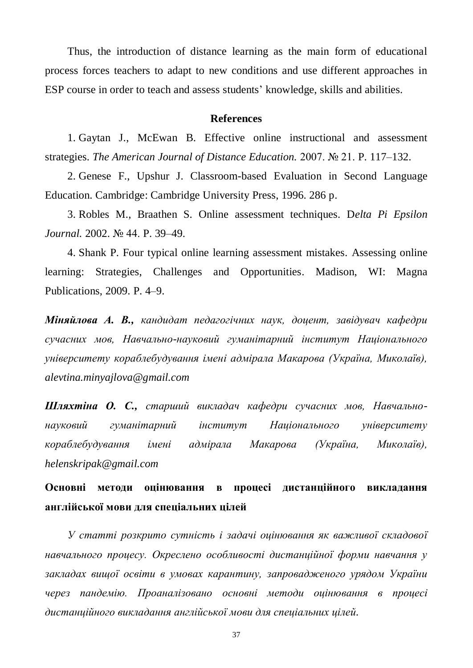Thus, the introduction of distance learning as the main form of educational process forces teachers to adapt to new conditions and use different approaches in ESP course in order to teach and assess students' knowledge, skills and abilities.

#### **References**

1. Gaytan J., McEwan B. Effective online instructional and assessment strategies. *The American Journal of Distance Education.* 2007. № 21. P. 117–132.

2. Genese F., Upshur J. Classroom-based Evaluation in Second Language Education. Cambridge: Cambridge University Press, 1996. 286 p.

3. Robles M., Braathen S. Online assessment techniques. D*elta Pi Epsilon Journal.* 2002. № 44. P. 39–49.

4. Shank P. Four typical online learning assessment mistakes*.* Assessing online learning: Strategies, Challenges and Opportunities. Madison, WI: Magna Publications, 2009. P. 4–9.

*Міняйлова А. В., кандидат педагогічних наук, доцент, завідувач кафедри сучасних мов, Навчально-науковий гуманітарний інститут Національного університету кораблебудування імені адмірала Макарова (Україна, Миколаїв), alevtina.minyajlova@gmail.com*

*Шляхтіна О. С., старший викладач кафедри сучасних мов, Навчальнонауковий гуманітарний інститут Національного університету кораблебудування імені адмірала Макарова (Україна, Миколаїв), helenskripak@gmail.com*

**Основні методи оцінювання в процесі дистанційного викладання англійської мови для спеціальних цілей**

*У статті розкрито сутність і задачі оцінювання як важливої складової навчального процесу. Окреслено особливості дистанційної форми навчання у закладах вищої освіти в умовах карантину, запровадженого урядом України через пандемію. Проаналізовано основні методи оцінювання в процесі дистанційного викладання англійської мови для спеціальних цілей.*